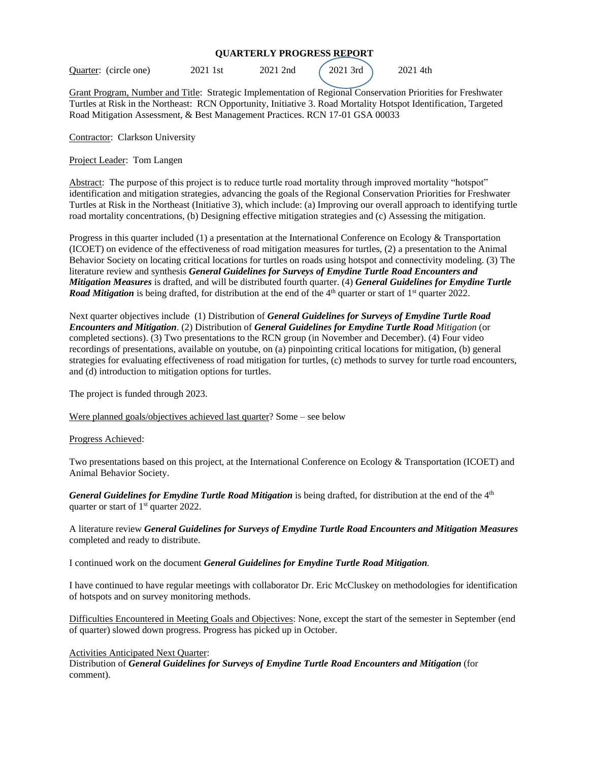## **QUARTERLY PROGRESS REPORT**

Quarter: (circle one) 2021 1st 2021 2nd (2021 3rd) 2021 4th

Grant Program, Number and Title: Strategic Implementation of Regional Conservation Priorities for Freshwater Turtles at Risk in the Northeast: RCN Opportunity, Initiative 3. Road Mortality Hotspot Identification, Targeted Road Mitigation Assessment, & Best Management Practices. RCN 17-01 GSA 00033

Contractor: Clarkson University

Project Leader: Tom Langen

Abstract: The purpose of this project is to reduce turtle road mortality through improved mortality "hotspot" identification and mitigation strategies, advancing the goals of the Regional Conservation Priorities for Freshwater Turtles at Risk in the Northeast (Initiative 3), which include: (a) Improving our overall approach to identifying turtle road mortality concentrations, (b) Designing effective mitigation strategies and (c) Assessing the mitigation.

Progress in this quarter included (1) a presentation at the International Conference on Ecology & Transportation (ICOET) on evidence of the effectiveness of road mitigation measures for turtles, (2) a presentation to the Animal Behavior Society on locating critical locations for turtles on roads using hotspot and connectivity modeling. (3) The literature review and synthesis *General Guidelines for Surveys of Emydine Turtle Road Encounters and Mitigation Measures* is drafted, and will be distributed fourth quarter. (4) *General Guidelines for Emydine Turtle Road Mitigation* is being drafted, for distribution at the end of the 4<sup>th</sup> quarter or start of 1<sup>st</sup> quarter 2022.

Next quarter objectives include (1) Distribution of *General Guidelines for Surveys of Emydine Turtle Road Encounters and Mitigation*. (2) Distribution of *General Guidelines for Emydine Turtle Road Mitigation* (or completed sections). (3) Two presentations to the RCN group (in November and December). (4) Four video recordings of presentations, available on youtube, on (a) pinpointing critical locations for mitigation, (b) general strategies for evaluating effectiveness of road mitigation for turtles, (c) methods to survey for turtle road encounters, and (d) introduction to mitigation options for turtles.

The project is funded through 2023.

Were planned goals/objectives achieved last quarter? Some – see below

Progress Achieved:

Two presentations based on this project, at the International Conference on Ecology & Transportation (ICOET) and Animal Behavior Society.

*General Guidelines for Emydine Turtle Road Mitigation* is being drafted, for distribution at the end of the 4<sup>th</sup> quarter or start of  $1<sup>st</sup>$  quarter 2022.

A literature review *General Guidelines for Surveys of Emydine Turtle Road Encounters and Mitigation Measures* completed and ready to distribute.

I continued work on the document *General Guidelines for Emydine Turtle Road Mitigation.*

I have continued to have regular meetings with collaborator Dr. Eric McCluskey on methodologies for identification of hotspots and on survey monitoring methods.

Difficulties Encountered in Meeting Goals and Objectives: None, except the start of the semester in September (end of quarter) slowed down progress. Progress has picked up in October.

## Activities Anticipated Next Quarter:

Distribution of *General Guidelines for Surveys of Emydine Turtle Road Encounters and Mitigation* (for comment).